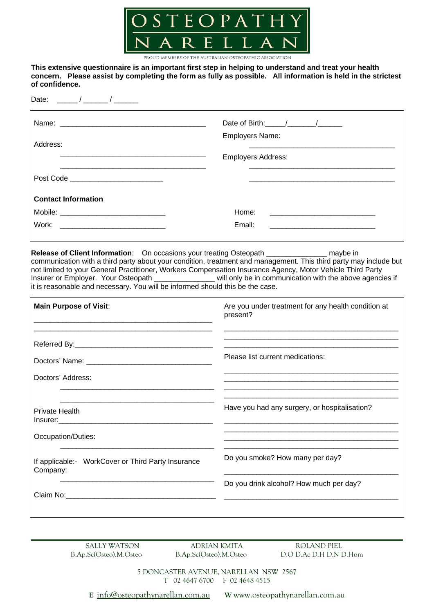

PROUD MEMBERS OF THE AUSTRALIAN OSTEOPATHIC ASSOCIATION

**This extensive questionnaire is an important first step in helping to understand and treat your health concern. Please assist by completing the form as fully as possible. All information is held in the strictest of confidence.** 

Date: \_\_\_\_\_/ \_\_\_\_\_/ \_

|                                                                                                                                | Date of Birth: $\frac{1}{2}$ / $\frac{1}{2}$                        |
|--------------------------------------------------------------------------------------------------------------------------------|---------------------------------------------------------------------|
| Address:                                                                                                                       | <b>Employers Name:</b>                                              |
|                                                                                                                                | <b>Employers Address:</b>                                           |
| Post Code _________________________                                                                                            |                                                                     |
| <b>Contact Information</b>                                                                                                     |                                                                     |
|                                                                                                                                | Home:<br><u> 1989 - Jan Stein Stein, fransk politiker (d. 1989)</u> |
| Work:<br><u> 1989 - Johann Harry Barn, mars ar breist fan de Fryske kommunent fan de Fryske kommunent fan de Fryske kommun</u> | Email:                                                              |

**Release of Client Information**: On occasions your treating Osteopath \_\_\_\_\_\_\_\_\_\_\_\_\_\_\_\_\_ maybe in communication with a third party about your condition, treatment and management. This third party may include but not limited to your General Practitioner, Workers Compensation Insurance Agency, Motor Vehicle Third Party<br>Insurer or Employer. Your Osteopath \_\_\_\_\_\_\_\_\_\_\_\_\_\_\_will only be in communication with the above agenci \_\_ will only be in communication with the above agencies if it is reasonable and necessary. You will be informed should this be the case.

| <b>Main Purpose of Visit:</b>                                                                                                                                                                                                                    | Are you under treatment for any health condition at<br>present? |
|--------------------------------------------------------------------------------------------------------------------------------------------------------------------------------------------------------------------------------------------------|-----------------------------------------------------------------|
|                                                                                                                                                                                                                                                  | Please list current medications:                                |
| Doctors' Address:                                                                                                                                                                                                                                |                                                                 |
|                                                                                                                                                                                                                                                  |                                                                 |
| Private Health<br>Insurer: the contract of the contract of the contract of the contract of the contract of the contract of the contract of the contract of the contract of the contract of the contract of the contract of the contract of the c | Have you had any surgery, or hospitalisation?                   |
| Occupation/Duties:                                                                                                                                                                                                                               |                                                                 |
| If applicable:- WorkCover or Third Party Insurance<br>Company:                                                                                                                                                                                   | Do you smoke? How many per day?                                 |
|                                                                                                                                                                                                                                                  | Do you drink alcohol? How much per day?                         |
|                                                                                                                                                                                                                                                  |                                                                 |

**\_\_\_\_\_\_\_\_\_\_\_\_\_\_\_\_\_\_\_\_\_\_\_\_\_\_\_\_\_\_\_\_\_\_\_\_\_\_\_\_\_\_\_\_\_\_\_\_\_\_\_\_\_\_\_\_\_\_\_\_\_\_\_\_\_\_\_\_\_\_\_\_\_\_\_\_\_\_\_\_\_\_\_\_\_**

SALLY WATSON ADRIAN KMITA ROLAND PIEL

B.Ap.Sc(Osteo).M.Osteo B.Ap.Sc(Osteo).M.Osteo D.O D.Ac D.H D.N D.Hom

5 DONCASTER AVENUE, NARELLAN NSW 2567 T 02 4647 6700 F 02 4648 4515

**E** info@osteopathynarellan.com.au **W** www.osteopathynarellan.com.au